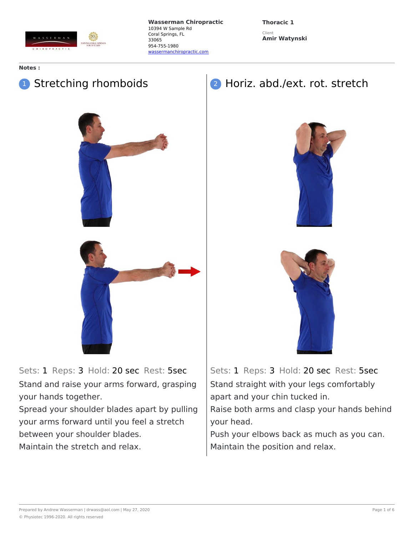

**Thoracic 1** Client **Amir Watynski**

2 Horiz. abd./ext. rot. stretch

**Notes :**

# **1** Stretching rhomboids





Sets: 1 Reps: 3 Hold: 20 sec Rest: 5sec Stand and raise your arms forward, grasping your hands together.

Spread your shoulder blades apart by pulling your arms forward until you feel a stretch between your shoulder blades. Maintain the stretch and relax.

Sets: 1 Reps: 3 Hold: 20 sec Rest: 5sec Stand straight with your legs comfortably apart and your chin tucked in.

Raise both arms and clasp your hands behind your head.

Push your elbows back as much as you can. Maintain the position and relax.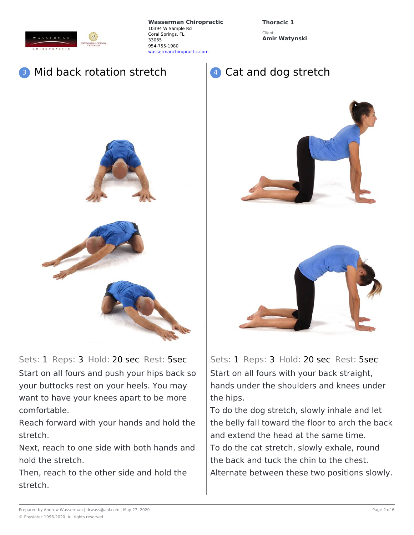

**Thoracic 1**

Client **Amir Watynski**

#### Mid back rotation stretch

# 4 Cat and dog stretch



Sets: 1 Reps: 3 Hold: 20 sec Rest: 5sec Start on all fours and push your hips back so your buttocks rest on your heels. You may want to have your knees apart to be more comfortable.

Reach forward with your hands and hold the stretch.

Next, reach to one side with both hands and hold the stretch.

Then, reach to the other side and hold the stretch.





Sets: 1 Reps: 3 Hold: 20 sec Rest: 5sec Start on all fours with your back straight, hands under the shoulders and knees under the hips.

To do the dog stretch, slowly inhale and let the belly fall toward the floor to arch the back and extend the head at the same time. To do the cat stretch, slowly exhale, round the back and tuck the chin to the chest. Alternate between these two positions slowly.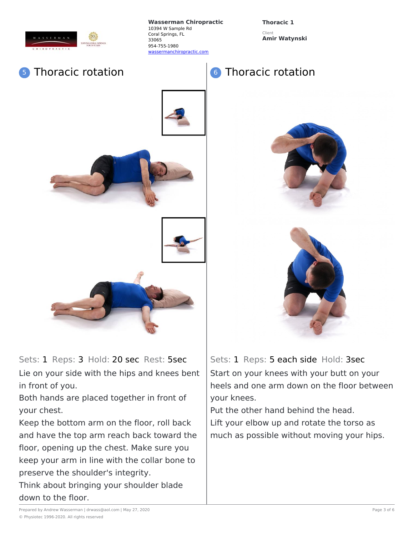

in front of you. Both hands are placed together in front of

your chest.

Keep the bottom arm on the floor, roll back and have the top arm reach back toward the floor, opening up the chest. Make sure you keep your arm in line with the collar bone to preserve the shoulder's integrity.

Think about bringing your shoulder blade down to the floor.

Sets: 1 Reps: 5 each side Hold: 3sec Start on your knees with your butt on your heels and one arm down on the floor between your knees.

Put the other hand behind the head. Lift your elbow up and rotate the torso as much as possible without moving your hips.

**6 Thoracic rotation** 

**Thoracic 1**

**Amir Watynski**

Client

**Wasserman Chiropractic**

10394 W Sample Rd Coral Springs, FL 33065 954-755-1980

wassermanchiropractic.com



<sup>5</sup> Thoracic rotation



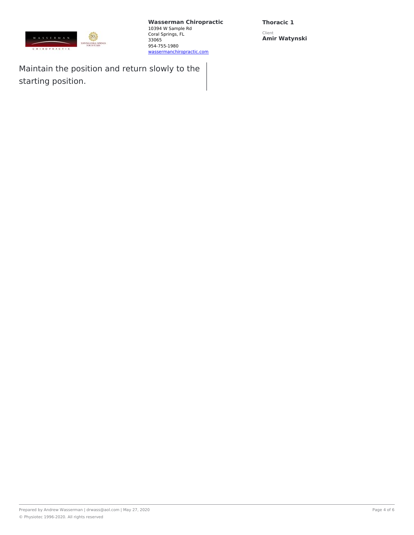

**Thoracic 1**

Client **Amir Watynski**

Maintain the position and return slowly to the starting position.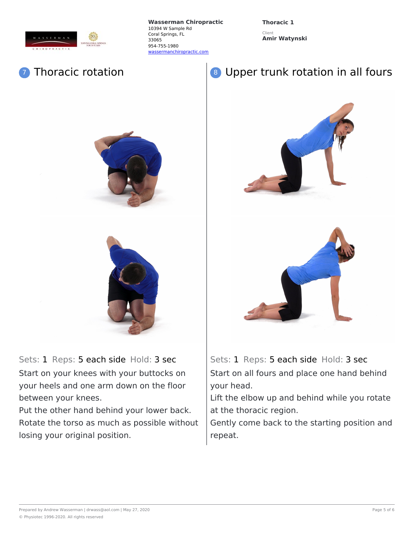

<sup>7</sup> Thoracic rotation

**Wasserman Chiropractic** 10394 W Sample Rd Coral Springs, FL 33065 954-755-1980 wassermanchiropractic.com

**Thoracic 1** Client

**Amir Watynski**

### 8 Upper trunk rotation in all fours



Sets: 1 Reps: 5 each side Hold: 3 sec Start on your knees with your buttocks on your heels and one arm down on the floor between your knees.

Put the other hand behind your lower back. Rotate the torso as much as possible without losing your original position.





Sets: 1 Reps: 5 each side Hold: 3 sec Start on all fours and place one hand behind your head.

Lift the elbow up and behind while you rotate at the thoracic region.

Gently come back to the starting position and repeat.